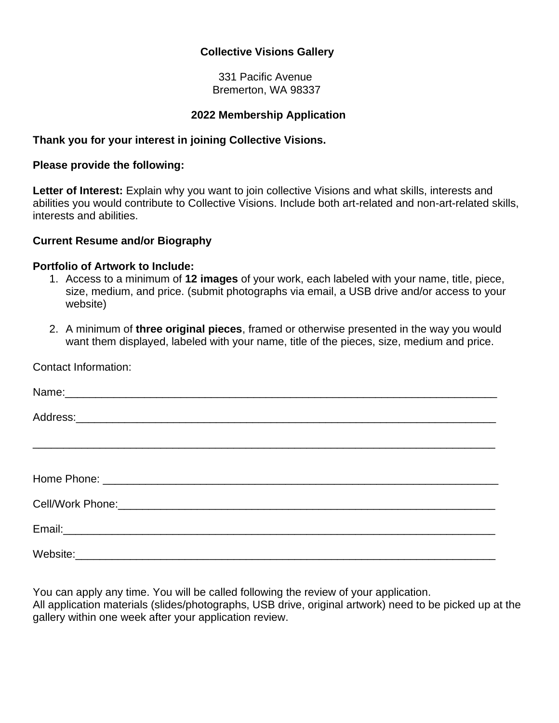### **Collective Visions Gallery**

 331 Pacific Avenue Bremerton, WA 98337

#### **2022 Membership Application**

#### **Thank you for your interest in joining Collective Visions.**

#### **Please provide the following:**

**Letter of Interest:** Explain why you want to join collective Visions and what skills, interests and abilities you would contribute to Collective Visions. Include both art-related and non-art-related skills, interests and abilities.

#### **Current Resume and/or Biography**

#### **Portfolio of Artwork to Include:**

- 1. Access to a minimum of **12 images** of your work, each labeled with your name, title, piece, size, medium, and price. (submit photographs via email, a USB drive and/or access to your website)
- 2. A minimum of **three original pieces**, framed or otherwise presented in the way you would want them displayed, labeled with your name, title of the pieces, size, medium and price.

Contact Information:

You can apply any time. You will be called following the review of your application. All application materials (slides/photographs, USB drive, original artwork) need to be picked up at the gallery within one week after your application review.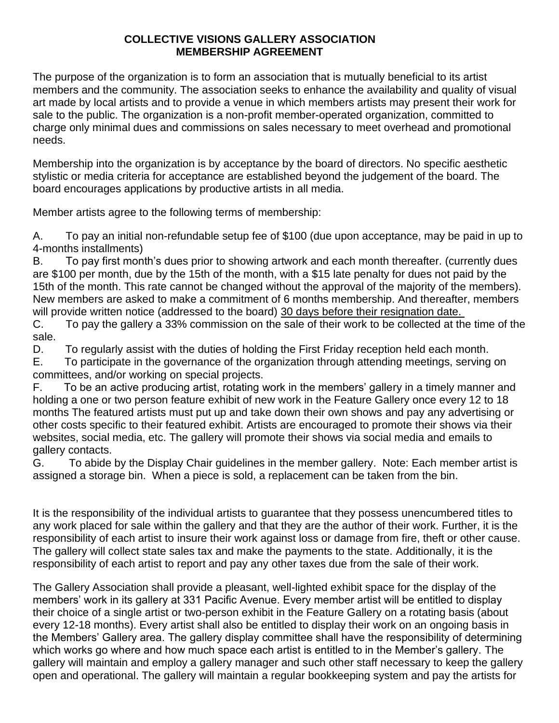### **COLLECTIVE VISIONS GALLERY ASSOCIATION MEMBERSHIP AGREEMENT**

The purpose of the organization is to form an association that is mutually beneficial to its artist members and the community. The association seeks to enhance the availability and quality of visual art made by local artists and to provide a venue in which members artists may present their work for sale to the public. The organization is a non-profit member-operated organization, committed to charge only minimal dues and commissions on sales necessary to meet overhead and promotional needs.

Membership into the organization is by acceptance by the board of directors. No specific aesthetic stylistic or media criteria for acceptance are established beyond the judgement of the board. The board encourages applications by productive artists in all media.

Member artists agree to the following terms of membership:

A. To pay an initial non-refundable setup fee of \$100 (due upon acceptance, may be paid in up to 4-months installments)

B. To pay first month's dues prior to showing artwork and each month thereafter. (currently dues are \$100 per month, due by the 15th of the month, with a \$15 late penalty for dues not paid by the 15th of the month. This rate cannot be changed without the approval of the majority of the members). New members are asked to make a commitment of 6 months membership. And thereafter, members will provide written notice (addressed to the board) 30 days before their resignation date.

C. To pay the gallery a 33% commission on the sale of their work to be collected at the time of the sale.

D. To regularly assist with the duties of holding the First Friday reception held each month.

E. To participate in the governance of the organization through attending meetings, serving on committees, and/or working on special projects.

F. To be an active producing artist, rotating work in the members' gallery in a timely manner and holding a one or two person feature exhibit of new work in the Feature Gallery once every 12 to 18 months The featured artists must put up and take down their own shows and pay any advertising or other costs specific to their featured exhibit. Artists are encouraged to promote their shows via their websites, social media, etc. The gallery will promote their shows via social media and emails to gallery contacts.

G. To abide by the Display Chair guidelines in the member gallery. Note: Each member artist is assigned a storage bin. When a piece is sold, a replacement can be taken from the bin.

It is the responsibility of the individual artists to guarantee that they possess unencumbered titles to any work placed for sale within the gallery and that they are the author of their work. Further, it is the responsibility of each artist to insure their work against loss or damage from fire, theft or other cause. The gallery will collect state sales tax and make the payments to the state. Additionally, it is the responsibility of each artist to report and pay any other taxes due from the sale of their work.

The Gallery Association shall provide a pleasant, well-lighted exhibit space for the display of the members' work in its gallery at 331 Pacific Avenue. Every member artist will be entitled to display their choice of a single artist or two-person exhibit in the Feature Gallery on a rotating basis (about every 12-18 months). Every artist shall also be entitled to display their work on an ongoing basis in the Members' Gallery area. The gallery display committee shall have the responsibility of determining which works go where and how much space each artist is entitled to in the Member's gallery. The gallery will maintain and employ a gallery manager and such other staff necessary to keep the gallery open and operational. The gallery will maintain a regular bookkeeping system and pay the artists for